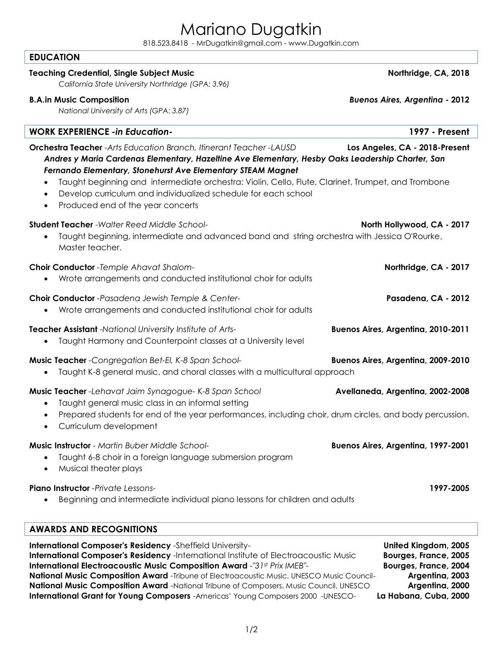# Mariano Dugatkin

818.523.8418 - [MrDugatkin@gmail.com -](mailto:MrDugatkin@gmail.com) www.Dugatkin.com

### **EDUCATION**

# **Teaching Credential, Single Subject Music Northridge, CA, 2018**

*California State University Northridge (GPA: 3.96)*

### **B.A. in Music Composition** *Buenos Aires, Argentina* **- 2012**

*National University of Arts (GPA: 3.87)*

**WORK EXPERIENCE** *-in Education-* **1997 - Present Orchestra Teacher** -*Arts Education Branch, Itinerant Teacher -LAUSD* **Los Angeles, CA - 2018-Present** *Andres y Maria Cardenas Elementary, Hazeltine Ave Elementary, Hesby Oaks Leadership Charter, San Fernando Elementary, Stonehurst Ave Elementary STEAM Magnet* Taught beginning and intermediate orchestra: Violin, Cello, Flute, Clarinet, Trumpet, and Trombone Develop curriculum and individualized schedule for each school Produced end of the year concerts **Student Teacher** -*Walter Reed Middle School-* **North Hollywood, CA - 2017** Taught beginning, intermediate and advanced band and string orchestra with Jessica O'Rourke, Master teacher. **Choir Conductor** *-Temple Ahavat Shalom-* **Northridge, CA - 2017** Wrote arrangements and conducted institutional choir for adults **Choir Conductor** *-Pasadena Jewish Temple & Center-* **Pasadena, CA - 2012** Wrote arrangements and conducted institutional choir for adults **Teacher Assistant** -*National University Institute of Arts-* **Buenos Aires, Argentina, 2010-2011** Taught Harmony and Counterpoint classes at a University level **Music Teacher** *-Congregation Bet-El, K-8 Span School-* **Buenos Aires, Argentina, 2009-2010**  Taught K-8 general music, and choral classes with a multicultural approach **Music Teacher** *-Lehavat Jaim Synagogue-* K*-8 Span School* **Avellaneda, Argentina, 2002-2008** Taught general music class in an informal setting Prepared students for end of the year performances, including choir, drum circles, and body percussion. Curriculum development **Music Instructor** *- Martin Buber Middle School-* **Buenos Aires, Argentina, 1997-2001** Taught 6-8 choir in a foreign language submersion program Musical theater plays **Piano Instructor** *-Private Lessons-* **1997-2005** Beginning and intermediate individual piano lessons for children and adults

# **AWARDS AND RECOGNITIONS**

**International Composer's Residency** -Sheffield University- **United Kingdom, 2005 International Composer's Residency** -International Institute of Electroacoustic Music **Bourges, France, 2005 International Electroacoustic Music Composition Award** *-"31st Prix IMEB"-* **Bourges, France, 2004 National Music Composition Award** -Tribune of Electroacoustic Music. UNESCO Music Council- **Argentina, 2003 National Music Composition Award** -National Tribune of Composers. Music Council, UNESCO **Argentina, 2000 International Grant for Young Composers** -Americas' Young Composers 2000 -UNESCO- **La Habana, Cuba, 2000**